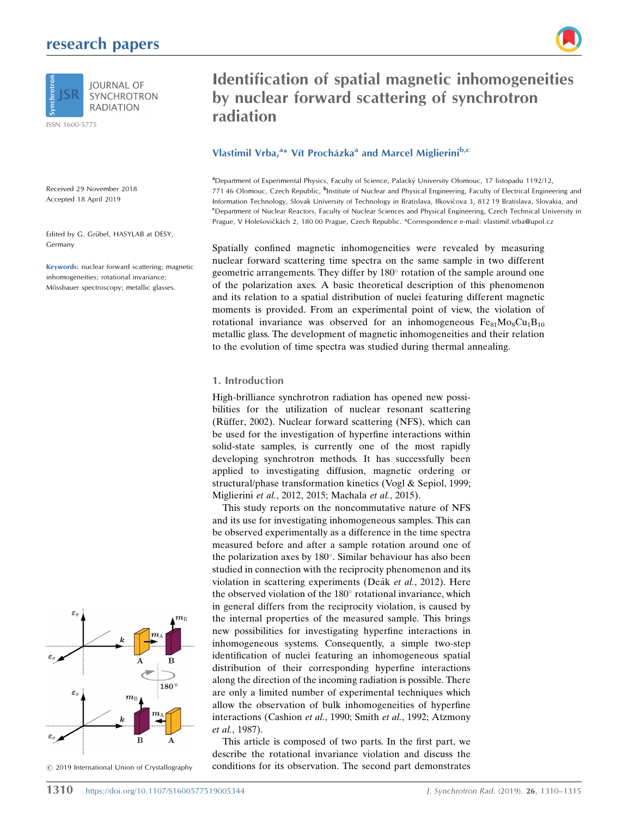## research papers



ISSN 1600-5775

Received 29 November 2018 Accepted 18 April 2019

Edited by G. Grübel, HASYLAB at DESY, Germany

Keywords: nuclear forward scattering; magnetic inhomogeneities; rotational invariance; Mössbauer spectroscopy; metallic glasses.



 $©$  2019 International Union of Crystallography

# Identification of spatial magnetic inhomogeneities by nuclear forward scattering of synchrotron radiation

## Vlastimil Vrba,<sup>a\*</sup> Vít Procházka<sup>a</sup> and Marcel Miglierini<sup>b,c</sup>

a Department of Experimental Physics, Faculty of Science, Palacky´ University Olomouc, 17 listopadu 1192/12, 771 46 Olomouc, Czech Republic, <sup>b</sup>Institute of Nuclear and Physical Engineering, Faculty of Electrical Engineering and Information Technology, Slovak University of Technology in Bratislava, Ilkovičova 3, 812 19 Bratislava, Slovakia, and c Department of Nuclear Reactors, Faculty of Nuclear Sciences and Physical Engineering, Czech Technical University in Prague, V Holešovičkách 2, 180 00 Prague, Czech Republic. \*Correspondence e-mail: vlastimil.vrba@upol.cz

Spatially confined magnetic inhomogeneities were revealed by measuring nuclear forward scattering time spectra on the same sample in two different geometric arrangements. They differ by 180° rotation of the sample around one of the polarization axes. A basic theoretical description of this phenomenon and its relation to a spatial distribution of nuclei featuring different magnetic moments is provided. From an experimental point of view, the violation of rotational invariance was observed for an inhomogeneous  $Fe_{81}Mo_8Cu_1B_{10}$ metallic glass. The development of magnetic inhomogeneities and their relation to the evolution of time spectra was studied during thermal annealing.

#### 1. Introduction

High-brilliance synchrotron radiation has opened new possibilities for the utilization of nuclear resonant scattering (Rüffer, 2002). Nuclear forward scattering (NFS), which can be used for the investigation of hyperfine interactions within solid-state samples, is currently one of the most rapidly developing synchrotron methods. It has successfully been applied to investigating diffusion, magnetic ordering or structural/phase transformation kinetics (Vogl & Sepiol, 1999; Miglierini et al., 2012, 2015; Machala et al., 2015).

This study reports on the noncommutative nature of NFS and its use for investigating inhomogeneous samples. This can be observed experimentally as a difference in the time spectra measured before and after a sample rotation around one of the polarization axes by 180°. Similar behaviour has also been studied in connection with the reciprocity phenomenon and its violation in scattering experiments (Deák et al., 2012). Here the observed violation of the 180° rotational invariance, which in general differs from the reciprocity violation, is caused by the internal properties of the measured sample. This brings new possibilities for investigating hyperfine interactions in inhomogeneous systems. Consequently, a simple two-step identification of nuclei featuring an inhomogeneous spatial distribution of their corresponding hyperfine interactions along the direction of the incoming radiation is possible. There are only a limited number of experimental techniques which allow the observation of bulk inhomogeneities of hyperfine interactions (Cashion et al., 1990; Smith et al., 1992; Atzmony et al., 1987).

This article is composed of two parts. In the first part, we describe the rotational invariance violation and discuss the conditions for its observation. The second part demonstrates

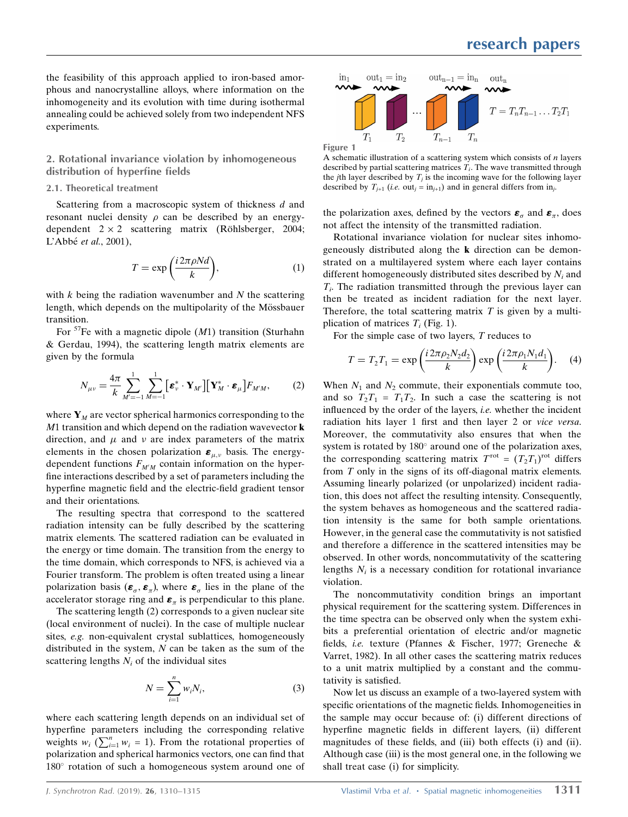the feasibility of this approach applied to iron-based amorphous and nanocrystalline alloys, where information on the inhomogeneity and its evolution with time during isothermal annealing could be achieved solely from two independent NFS experiments.

#### 2. Rotational invariance violation by inhomogeneous distribution of hyperfine fields

#### 2.1. Theoretical treatment

Scattering from a macroscopic system of thickness d and resonant nuclei density  $\rho$  can be described by an energydependent  $2 \times 2$  scattering matrix (Röhlsberger, 2004; L'Abbé et al., 2001),

$$
T = \exp\left(\frac{i 2\pi \rho N d}{k}\right),\tag{1}
$$

with  $k$  being the radiation wavenumber and  $N$  the scattering length, which depends on the multipolarity of the Mössbauer transition.

For  ${}^{57}$ Fe with a magnetic dipole (M1) transition (Sturhahn & Gerdau, 1994), the scattering length matrix elements are given by the formula

$$
N_{\mu\nu} = \frac{4\pi}{k} \sum_{M'=-1}^{1} \sum_{M=-1}^{1} \left[ \boldsymbol{\varepsilon}_{\nu}^{*} \cdot \mathbf{Y}_{M'} \right] \left[ \mathbf{Y}_{M}^{*} \cdot \boldsymbol{\varepsilon}_{\mu} \right] F_{M'M}, \qquad (2)
$$

where  $Y_M$  are vector spherical harmonics corresponding to the  $M1$  transition and which depend on the radiation wavevector **k** direction, and  $\mu$  and  $\nu$  are index parameters of the matrix elements in the chosen polarization  $\epsilon_{\mu,\nu}$  basis. The energydependent functions  $F_{M'M}$  contain information on the hyperfine interactions described by a set of parameters including the hyperfine magnetic field and the electric-field gradient tensor and their orientations.

The resulting spectra that correspond to the scattered radiation intensity can be fully described by the scattering matrix elements. The scattered radiation can be evaluated in the energy or time domain. The transition from the energy to the time domain, which corresponds to NFS, is achieved via a Fourier transform. The problem is often treated using a linear polarization basis  $(\boldsymbol{\varepsilon}_{\alpha}, \boldsymbol{\varepsilon}_{\alpha})$ , where  $\boldsymbol{\varepsilon}_{\alpha}$  lies in the plane of the accelerator storage ring and  $\boldsymbol{\varepsilon}_{\pi}$  is perpendicular to this plane.

The scattering length (2) corresponds to a given nuclear site (local environment of nuclei). In the case of multiple nuclear sites, e.g. non-equivalent crystal sublattices, homogeneously distributed in the system,  $N$  can be taken as the sum of the scattering lengths  $N_i$  of the individual sites

$$
N = \sum_{i=1}^{n} w_i N_i,
$$
\n(3)

where each scattering length depends on an individual set of hyperfine parameters including the corresponding relative weights  $w_i$  ( $\sum_{i=1}^{n} w_i = 1$ ). From the rotational properties of polarization and spherical harmonics vectors, one can find that 180° rotation of such a homogeneous system around one of



A schematic illustration of a scattering system which consists of  $n$  layers described by partial scattering matrices  $T_i$ . The wave transmitted through the *j*th layer described by  $T_i$  is the incoming wave for the following layer described by  $T_{i+1}$  (i.e. out<sub>i</sub> = in<sub>i+1</sub>) and in general differs from in<sub>i</sub>.

the polarization axes, defined by the vectors  $\boldsymbol{\varepsilon}_{\sigma}$  and  $\boldsymbol{\varepsilon}_{\pi}$ , does not affect the intensity of the transmitted radiation.

Rotational invariance violation for nuclear sites inhomogeneously distributed along the k direction can be demonstrated on a multilayered system where each layer contains different homogeneously distributed sites described by  $N_i$  and  $T_i$ . The radiation transmitted through the previous layer can then be treated as incident radiation for the next layer. Therefore, the total scattering matrix  $T$  is given by a multiplication of matrices  $T_i$  (Fig. 1).

For the simple case of two layers, T reduces to

$$
T = T_2 T_1 = \exp\left(\frac{i 2\pi \rho_2 N_2 d_2}{k}\right) \exp\left(\frac{i 2\pi \rho_1 N_1 d_1}{k}\right).
$$
 (4)

When  $N_1$  and  $N_2$  commute, their exponentials commute too, and so  $T_2T_1 = T_1T_2$ . In such a case the scattering is not influenced by the order of the layers, i.e. whether the incident radiation hits layer 1 first and then layer 2 or vice versa. Moreover, the commutativity also ensures that when the system is rotated by  $180^\circ$  around one of the polarization axes, the corresponding scattering matrix  $T^{\text{rot}} = (T_2 T_1)^{\text{rot}}$  differs from T only in the signs of its off-diagonal matrix elements. Assuming linearly polarized (or unpolarized) incident radiation, this does not affect the resulting intensity. Consequently, the system behaves as homogeneous and the scattered radiation intensity is the same for both sample orientations. However, in the general case the commutativity is not satisfied and therefore a difference in the scattered intensities may be observed. In other words, noncommutativity of the scattering lengths  $N_i$  is a necessary condition for rotational invariance violation.

The noncommutativity condition brings an important physical requirement for the scattering system. Differences in the time spectra can be observed only when the system exhibits a preferential orientation of electric and/or magnetic fields, i.e. texture (Pfannes & Fischer, 1977; Greneche & Varret, 1982). In all other cases the scattering matrix reduces to a unit matrix multiplied by a constant and the commutativity is satisfied.

Now let us discuss an example of a two-layered system with specific orientations of the magnetic fields. Inhomogeneities in the sample may occur because of: (i) different directions of hyperfine magnetic fields in different layers, (ii) different magnitudes of these fields, and (iii) both effects (i) and (ii). Although case (iii) is the most general one, in the following we shall treat case (i) for simplicity.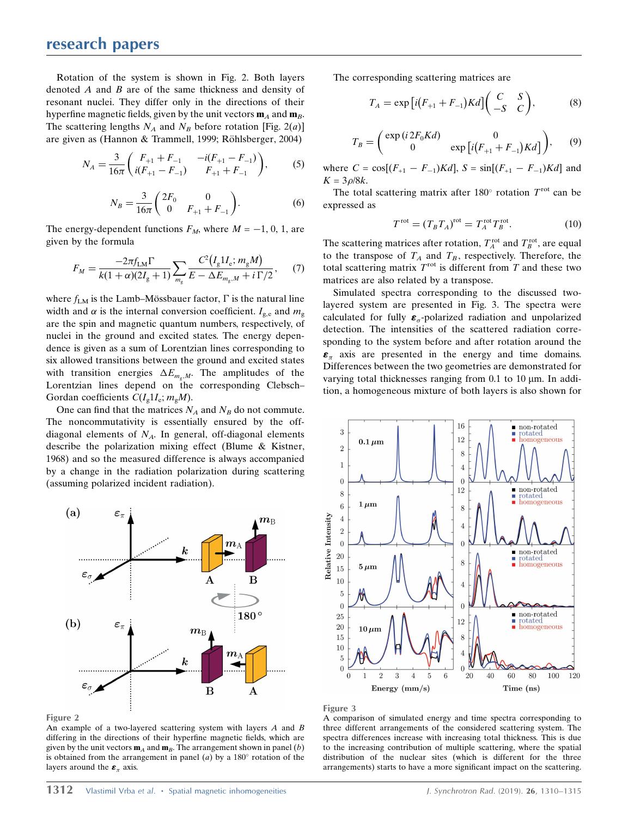Rotation of the system is shown in Fig. 2. Both layers denoted  $\vec{A}$  and  $\vec{B}$  are of the same thickness and density of resonant nuclei. They differ only in the directions of their hyperfine magnetic fields, given by the unit vectors  $\mathbf{m}_A$  and  $\mathbf{m}_B$ . The scattering lengths  $N_A$  and  $N_B$  before rotation [Fig. 2(a)] are given as (Hannon & Trammell, 1999; Röhlsberger, 2004)

$$
N_A = \frac{3}{16\pi} \begin{pmatrix} F_{+1} + F_{-1} & -i(F_{+1} - F_{-1}) \\ i(F_{+1} - F_{-1}) & F_{+1} + F_{-1} \end{pmatrix},
$$
 (5)

$$
N_B = \frac{3}{16\pi} \begin{pmatrix} 2F_0 & 0\\ 0 & F_{+1} + F_{-1} \end{pmatrix}.
$$
 (6)

The energy-dependent functions  $F_M$ , where  $M = -1, 0, 1$ , are given by the formula

$$
F_M = \frac{-2\pi f_{LM}\Gamma}{k(1+\alpha)(2I_g+1)} \sum_{m_g} \frac{C^2(I_g1I_e; m_gM)}{E - \Delta E_{m_g,M} + i\,\Gamma/2},\tag{7}
$$

where  $f_{LM}$  is the Lamb–Mössbauer factor,  $\Gamma$  is the natural line width and  $\alpha$  is the internal conversion coefficient.  $I_{g,e}$  and  $m_g$ are the spin and magnetic quantum numbers, respectively, of nuclei in the ground and excited states. The energy dependence is given as a sum of Lorentzian lines corresponding to six allowed transitions between the ground and excited states with transition energies  $\Delta E_{m_q,M}$ . The amplitudes of the Lorentzian lines depend on the corresponding Clebsch– Gordan coefficients  $C(I_{\rm g}1I_{\rm e}; m_{\rm g}M)$ .

One can find that the matrices  $N_A$  and  $N_B$  do not commute. The noncommutativity is essentially ensured by the offdiagonal elements of  $N_A$ . In general, off-diagonal elements describe the polarization mixing effect (Blume & Kistner, 1968) and so the measured difference is always accompanied by a change in the radiation polarization during scattering (assuming polarized incident radiation).



Figure 2

An example of a two-layered scattering system with layers  $A$  and  $B$ differing in the directions of their hyperfine magnetic fields, which are given by the unit vectors  $\mathbf{m}_A$  and  $\mathbf{m}_B$ . The arrangement shown in panel (b) is obtained from the arrangement in panel  $(a)$  by a 180 $^{\circ}$  rotation of the layers around the  $\epsilon_{\pi}$  axis.

The corresponding scattering matrices are

$$
T_A = \exp\left[i(F_{+1} + F_{-1})Kd\right] \begin{pmatrix} C & S \\ -S & C \end{pmatrix},\tag{8}
$$

$$
T_B = \begin{pmatrix} \exp(i2F_0Kd) & 0\\ 0 & \exp[i(F_{+1} + F_{-1})Kd] \end{pmatrix}, \qquad (9)
$$

where  $C = \cos[(F_{+1} - F_{-1})Kd]$ ,  $S = \sin[(F_{+1} - F_{-1})Kd]$  and  $K = 3\rho/8k$ .

The total scattering matrix after 180 $^{\circ}$  rotation  $T^{\text{rot}}$  can be expressed as

$$
T^{\text{rot}} = (T_B T_A)^{\text{rot}} = T_A^{\text{rot}} T_B^{\text{rot}}.
$$
 (10)

The scattering matrices after rotation,  $T_A^{\text{rot}}$  and  $T_B^{\text{rot}}$ , are equal to the transpose of  $T_A$  and  $T_B$ , respectively. Therefore, the total scattering matrix  $T<sup>rot</sup>$  is different from T and these two matrices are also related by a transpose.

Simulated spectra corresponding to the discussed twolayered system are presented in Fig. 3. The spectra were calculated for fully  $\epsilon_{\alpha}$ -polarized radiation and unpolarized detection. The intensities of the scattered radiation corresponding to the system before and after rotation around the  $\epsilon_{\pi}$  axis are presented in the energy and time domains. Differences between the two geometries are demonstrated for varying total thicknesses ranging from  $0.1$  to  $10 \mu m$ . In addition, a homogeneous mixture of both layers is also shown for





A comparison of simulated energy and time spectra corresponding to three different arrangements of the considered scattering system. The spectra differences increase with increasing total thickness. This is due to the increasing contribution of multiple scattering, where the spatial distribution of the nuclear sites (which is different for the three arrangements) starts to have a more significant impact on the scattering.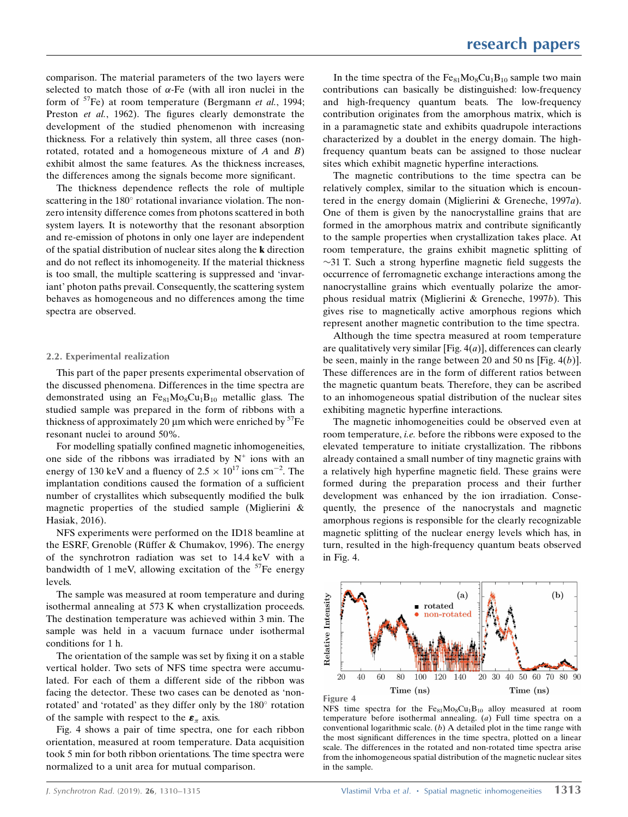comparison. The material parameters of the two layers were selected to match those of  $\alpha$ -Fe (with all iron nuclei in the form of  $57Fe$ ) at room temperature (Bergmann *et al.*, 1994; Preston et al., 1962). The figures clearly demonstrate the development of the studied phenomenon with increasing thickness. For a relatively thin system, all three cases (nonrotated, rotated and a homogeneous mixture of  $A$  and  $B$ ) exhibit almost the same features. As the thickness increases, the differences among the signals become more significant.

The thickness dependence reflects the role of multiple scattering in the 180° rotational invariance violation. The nonzero intensity difference comes from photons scattered in both system layers. It is noteworthy that the resonant absorption and re-emission of photons in only one layer are independent of the spatial distribution of nuclear sites along the k direction and do not reflect its inhomogeneity. If the material thickness is too small, the multiple scattering is suppressed and 'invariant' photon paths prevail. Consequently, the scattering system behaves as homogeneous and no differences among the time spectra are observed.

### 2.2. Experimental realization

This part of the paper presents experimental observation of the discussed phenomena. Differences in the time spectra are demonstrated using an  $Fe_{81}Mo_8Cu_1B_{10}$  metallic glass. The studied sample was prepared in the form of ribbons with a thickness of approximately 20  $\mu$ m which were enriched by  ${}^{57}Fe$ resonant nuclei to around 50%.

For modelling spatially confined magnetic inhomogeneities, one side of the ribbons was irradiated by  $N^+$  ions with an energy of 130 keV and a fluency of  $2.5 \times 10^{17}$  ions cm<sup>-2</sup>. The implantation conditions caused the formation of a sufficient number of crystallites which subsequently modified the bulk magnetic properties of the studied sample (Miglierini & Hasiak, 2016).

NFS experiments were performed on the ID18 beamline at the ESRF, Grenoble (Rüffer & Chumakov, 1996). The energy of the synchrotron radiation was set to 14.4 keV with a bandwidth of 1 meV, allowing excitation of the  $57$ Fe energy levels.

The sample was measured at room temperature and during isothermal annealing at 573 K when crystallization proceeds. The destination temperature was achieved within 3 min. The sample was held in a vacuum furnace under isothermal conditions for 1 h.

The orientation of the sample was set by fixing it on a stable vertical holder. Two sets of NFS time spectra were accumulated. For each of them a different side of the ribbon was facing the detector. These two cases can be denoted as 'nonrotated' and 'rotated' as they differ only by the 180° rotation of the sample with respect to the  $\epsilon_{\pi}$  axis.

Fig. 4 shows a pair of time spectra, one for each ribbon orientation, measured at room temperature. Data acquisition took 5 min for both ribbon orientations. The time spectra were normalized to a unit area for mutual comparison.

In the time spectra of the  $Fe_{81}Mo_8Cu_1B_{10}$  sample two main contributions can basically be distinguished: low-frequency and high-frequency quantum beats. The low-frequency contribution originates from the amorphous matrix, which is in a paramagnetic state and exhibits quadrupole interactions characterized by a doublet in the energy domain. The highfrequency quantum beats can be assigned to those nuclear sites which exhibit magnetic hyperfine interactions.

The magnetic contributions to the time spectra can be relatively complex, similar to the situation which is encountered in the energy domain (Miglierini & Greneche, 1997a). One of them is given by the nanocrystalline grains that are formed in the amorphous matrix and contribute significantly to the sample properties when crystallization takes place. At room temperature, the grains exhibit magnetic splitting of  $\sim$ 31 T. Such a strong hyperfine magnetic field suggests the occurrence of ferromagnetic exchange interactions among the nanocrystalline grains which eventually polarize the amorphous residual matrix (Miglierini & Greneche, 1997b). This gives rise to magnetically active amorphous regions which represent another magnetic contribution to the time spectra.

Although the time spectra measured at room temperature are qualitatively very similar [Fig.  $4(a)$ ], differences can clearly be seen, mainly in the range between 20 and 50 ns [Fig.  $4(b)$ ]. These differences are in the form of different ratios between the magnetic quantum beats. Therefore, they can be ascribed to an inhomogeneous spatial distribution of the nuclear sites exhibiting magnetic hyperfine interactions.

The magnetic inhomogeneities could be observed even at room temperature, i.e. before the ribbons were exposed to the elevated temperature to initiate crystallization. The ribbons already contained a small number of tiny magnetic grains with a relatively high hyperfine magnetic field. These grains were formed during the preparation process and their further development was enhanced by the ion irradiation. Consequently, the presence of the nanocrystals and magnetic amorphous regions is responsible for the clearly recognizable magnetic splitting of the nuclear energy levels which has, in turn, resulted in the high-frequency quantum beats observed in Fig. 4.





NFS time spectra for the  $Fe_{81}Mo_8Cu_1B_{10}$  alloy measured at room temperature before isothermal annealing. (a) Full time spectra on a conventional logarithmic scale.  $(b)$  A detailed plot in the time range with the most significant differences in the time spectra, plotted on a linear scale. The differences in the rotated and non-rotated time spectra arise from the inhomogeneous spatial distribution of the magnetic nuclear sites in the sample.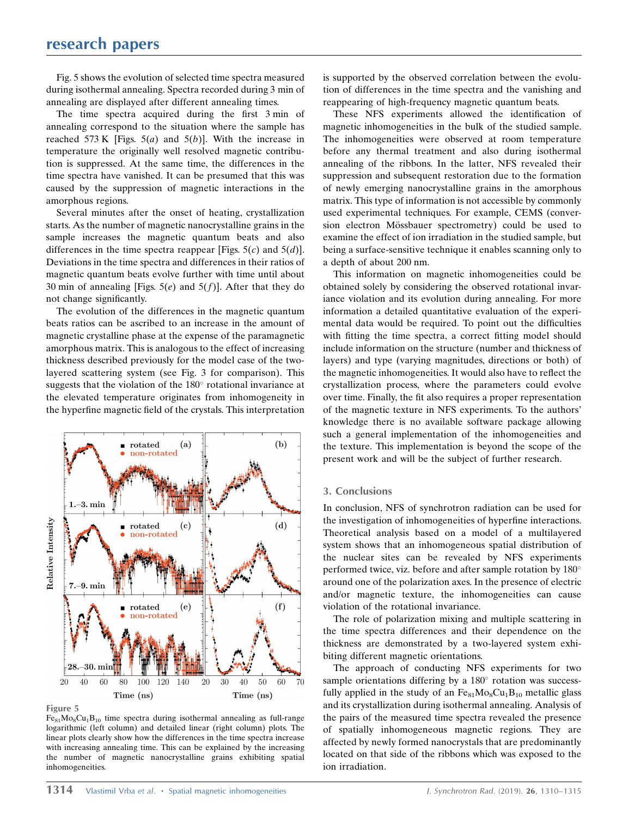Fig. 5 shows the evolution of selected time spectra measured during isothermal annealing. Spectra recorded during 3 min of annealing are displayed after different annealing times.

The time spectra acquired during the first 3 min of annealing correspond to the situation where the sample has reached 573 K [Figs.  $5(a)$  and  $5(b)$ ]. With the increase in temperature the originally well resolved magnetic contribution is suppressed. At the same time, the differences in the time spectra have vanished. It can be presumed that this was caused by the suppression of magnetic interactions in the amorphous regions.

Several minutes after the onset of heating, crystallization starts. As the number of magnetic nanocrystalline grains in the sample increases the magnetic quantum beats and also differences in the time spectra reappear [Figs.  $5(c)$  and  $5(d)$ ]. Deviations in the time spectra and differences in their ratios of magnetic quantum beats evolve further with time until about 30 min of annealing [Figs.  $5(e)$  and  $5(f)$ ]. After that they do not change significantly.

The evolution of the differences in the magnetic quantum beats ratios can be ascribed to an increase in the amount of magnetic crystalline phase at the expense of the paramagnetic amorphous matrix. This is analogous to the effect of increasing thickness described previously for the model case of the twolayered scattering system (see Fig. 3 for comparison). This suggests that the violation of the  $180^\circ$  rotational invariance at the elevated temperature originates from inhomogeneity in the hyperfine magnetic field of the crystals. This interpretation



Figure 5

 $Fe_{81}Mo_8Cu_1B_{10}$  time spectra during isothermal annealing as full-range logarithmic (left column) and detailed linear (right column) plots. The linear plots clearly show how the differences in the time spectra increase with increasing annealing time. This can be explained by the increasing the number of magnetic nanocrystalline grains exhibiting spatial inhomogeneities.

is supported by the observed correlation between the evolution of differences in the time spectra and the vanishing and reappearing of high-frequency magnetic quantum beats.

These NFS experiments allowed the identification of magnetic inhomogeneities in the bulk of the studied sample. The inhomogeneities were observed at room temperature before any thermal treatment and also during isothermal annealing of the ribbons. In the latter, NFS revealed their suppression and subsequent restoration due to the formation of newly emerging nanocrystalline grains in the amorphous matrix. This type of information is not accessible by commonly used experimental techniques. For example, CEMS (conversion electron Mössbauer spectrometry) could be used to examine the effect of ion irradiation in the studied sample, but being a surface-sensitive technique it enables scanning only to a depth of about 200 nm.

This information on magnetic inhomogeneities could be obtained solely by considering the observed rotational invariance violation and its evolution during annealing. For more information a detailed quantitative evaluation of the experimental data would be required. To point out the difficulties with fitting the time spectra, a correct fitting model should include information on the structure (number and thickness of layers) and type (varying magnitudes, directions or both) of the magnetic inhomogeneities. It would also have to reflect the crystallization process, where the parameters could evolve over time. Finally, the fit also requires a proper representation of the magnetic texture in NFS experiments. To the authors' knowledge there is no available software package allowing such a general implementation of the inhomogeneities and the texture. This implementation is beyond the scope of the present work and will be the subject of further research.

#### 3. Conclusions

In conclusion, NFS of synchrotron radiation can be used for the investigation of inhomogeneities of hyperfine interactions. Theoretical analysis based on a model of a multilayered system shows that an inhomogeneous spatial distribution of the nuclear sites can be revealed by NFS experiments performed twice, viz. before and after sample rotation by  $180^\circ$ around one of the polarization axes. In the presence of electric and/or magnetic texture, the inhomogeneities can cause violation of the rotational invariance.

The role of polarization mixing and multiple scattering in the time spectra differences and their dependence on the thickness are demonstrated by a two-layered system exhibiting different magnetic orientations.

The approach of conducting NFS experiments for two sample orientations differing by a 180° rotation was successfully applied in the study of an  $Fe_{81}Mo_8Cu_1B_{10}$  metallic glass and its crystallization during isothermal annealing. Analysis of the pairs of the measured time spectra revealed the presence of spatially inhomogeneous magnetic regions. They are affected by newly formed nanocrystals that are predominantly located on that side of the ribbons which was exposed to the ion irradiation.